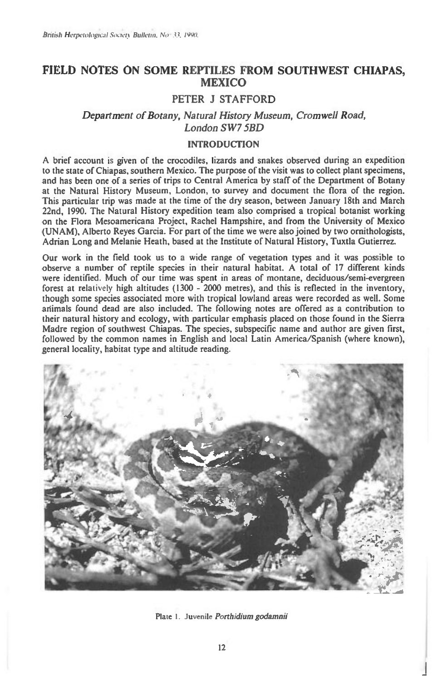# **FIELD NOTES ON SOME REPTILES FROM SOUTHWEST CHIAPAS, MEXICO**

## **PETER J STAFFORD**

## *Department of Botany, Natural History Museum, Cromwell Road, London SW7 5BD*

### **INTRODUCTION**

**A brief account is given of the crocodiles, lizards and snakes observed during an expedition to the state of Chiapas, southern Mexico. The purpose of the visit was to collect plant specimens, and has been one of a series of trips to Central America by staff of the Department of Botany at the Natural History Museum, London, to survey and document the flora of the region. This particular trip was made at the time of the dry season, between January 18th and March 22nd, 1990. The Natural History expedition team also comprised a tropical botanist working**  on the Flora Mesoamericana Project, Rachel Hampshire, and from the University of Mexico **(UNAM), Alberto Reyes Garcia. For part of the time we were also joined by two ornithologists, Adrian Long and Melanie Heath, based at the Institute of Natural History, Tuxtla Gutierrez.** 

**Our work in the field took us to a wide range of vegetation types and it was possible to observe a number of reptile species in their natural habitat. A total of 17 different kinds were identified. Much of our time was spent in areas of montane, deciduous/semi-evergreen forest at relatively high altitudes (1300 - 2000 metres), and this is reflected in the inventory, though some species associated more with tropical lowland areas were recorded as well. Some animals found dead are also included. The following notes are offered as a contribution to their natural history and ecology, with particular emphasis placed on those found in the Sierra Madre region of southwest Chiapas. The species, subspecific name and author are given first, followed by the common names in English and local Latin America/Spanish (where known), general locality, habitat type and altitude reading.** 



Plate 1. Juvenile *Porthidium godamnii*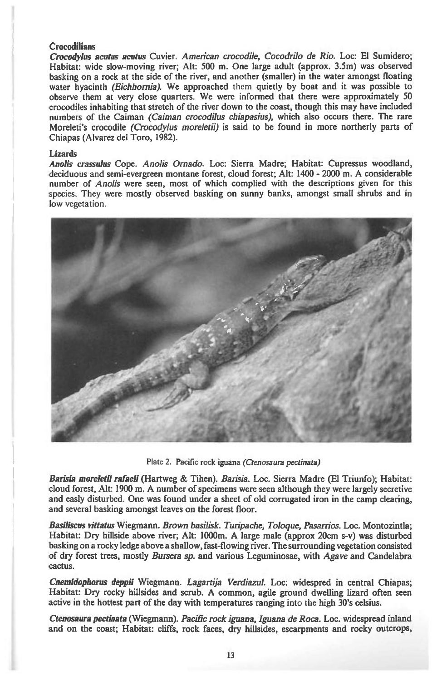### **Crocodilians**

*Crocodylus acutus acutus* **Cuvier.** *American crocodile, Cocodrilo de Rio.* **Loc: El Sumidero; Habitat: wide slow-moving river; Alt: 500 m. One large adult (approx. 3.5m) was observed basking on a rock at the side of the river, and another (smaller) in the water amongst floating water hyacinth** *(Eichhornia).* **We approached them quietly by boat and it was possible to observe them at very close quarters. We were informed that there were approximately 50 crocodiles inhabiting that stretch of the river down to the coast, though this may have included numbers of the Caiman** *(Caiman crocodilus chiapasius),* **which also occurs there. The rare Moreleti's crocodile** *(Crocodylus moreletii) is* **said to be found in more northerly parts of Chiapas (Alvarez del Toro, 1982).** 

#### **Lizards**

*Anolis crassulus* **Cope.** *Anolis Omado.* **Loc: Sierra Madre; Habitat: Cupressus woodland, deciduous and semi-evergreen montane forest, cloud forest; Alt: 1400 - 2000 m. A considerable number of** *Anolis* **were seen, most of which complied with the descriptions given for this species. They were mostly observed basking on sunny banks, amongst small shrubs and in low vegetation.** 



**Plate 2. Pacific rock iguana** *(Ctenosaura pectinata)* 

*Barisia moreletii rafaeli* **(Hartweg & Tihen).** *Barisia.* **Loc. Sierra Madre (El Triunfo); Habitat: cloud forest, Alt: 1900 m. A number of specimens were seen although they were largely secretive and easly disturbed. One was found under a sheet of old corrugated iron in the camp clearing, and several basking amongst leaves on the forest floor.** 

*Basiliscus vittatus* **Wiegmann.** *Brown basilisk. Turipache, Toloque, Pasarrios.* **Loc. Montozintla; Habitat: Dry hillside above river; Alt: 1000m. A large male (approx 20cm s-v) was disturbed basking on a rocky ledge above a shallow, fast-flowing river. The surrounding vegetation consisted of dry forest trees, mostly** *Bursera sp.* **and various Leguminosae, with** *Agave* **and Candelabra cactus.** 

*Cnemidophorus deppii* **Wiegmann.** *Lagartija Verdiazul.* **Loc: widespred in central Chiapas; Habitat: Dry rocky hillsides and scrub. A common, agile ground dwelling lizard often seen active in the hottest part of the day with temperatures ranging into the high 30's celsius.** 

*Ctenosaura pectinata* **(Wiegmann).** *Pacific rock iguana, Iguana de Roca.* **Loc. widespread inland and on the coast; Habitat: cliffs, rock faces, dry hillsides, escarpments and rocky outcrops,**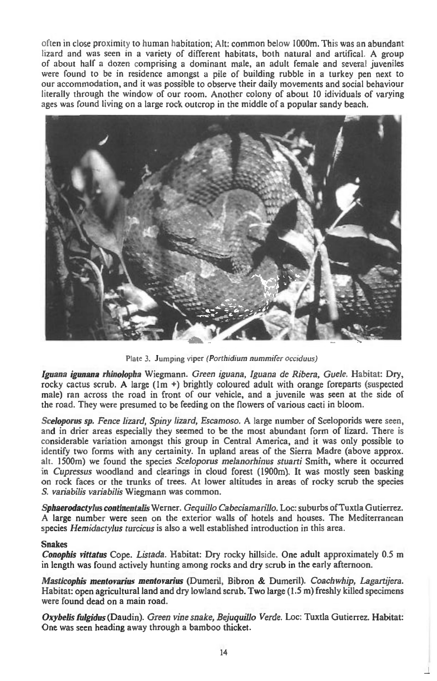often in close proximity to human habitation; Alt: common below 1000m. This was an abundant lizard and was seen in a variety of different habitats, both natural and artifical A group of about half a dozen comprising a dominant male, an adult female and several juveniles were found to be in residence amongst a pile of building rubble in a turkey pen next to our accommodation, and it was possible to observe their daily movements and social behaviour literally through the window of our room. Another colony of about 10 idividuals of varying ages was found living on a large rock outcrop in the middle of a popular sandy beach.



Plate 3. Jumping viper *(Porthidium nummifer occiduus)* 

*Iguana igunana rhinolopha* Wiegmann. *Green iguana, Iguana de Ribera, Guele.* Habitat: Dry, rocky cactus scrub. A large ( $1m +$ ) brightly coloured adult with orange foreparts (suspected male) ran across the road in front of our vehicle, and a juvenile was seen at the side of the road. They were presumed to be feeding on the flowers of various cacti in bloom.

*Sceloporus sp. Fence lizard, Spiny lizard, Escamoso.* A large number of Sceloporids were seen, and in drier areas especially they seemed to be the most abundant form of lizard. There is considerable variation amongst this group in Central America, and it was only possible to identify two forms with any certainity. In upland areas of the Sierra Madre (above approx. alt. 1500m) we found the species *Sceloporus melanorhinus stuarti* Smith, where it occurred in *Cupressus* woodland and clearings in cloud forest (1900m). It was mostly seen basking on rock faces or the trunks of trees. At lower altitudes in areas of rocky scrub the species *S. variabilis variabilis* Wiegmann was common.

*Sphaerodactylus continentalis* Werner. *Gequillo Cabeciamarillo.* Loc: suburbs of Tuxtla Gutierrez. A large number were seen on the exterior walls of hotels and houses. The Mediterranean species *HemidactyIus turcicus* is also a well established introduction in this area.

### Snakes

*Conophis vittatus* Cope. *Listada.* Habitat: Dry rocky hillside. One adult approximately 0.5 m in length was found actively hunting among rocks and dry scrub in the early afternoon.

*Masticophis mentovarius mentovarius* (Dumeril, Bibron & Dumeril). *Coachwhip, Lagartijera.*  Habitat: open agricultural land and dry lowland scrub. Two large (1.5 m) freshly killed specimens were found dead on a main road.

*Oxybelis fulgidus* (Daudin). *Green vine snake, Bejuquillo Verde.* Loc: Tuxtla Gutierrez. Habitat: One was seen heading away through a bamboo thicket.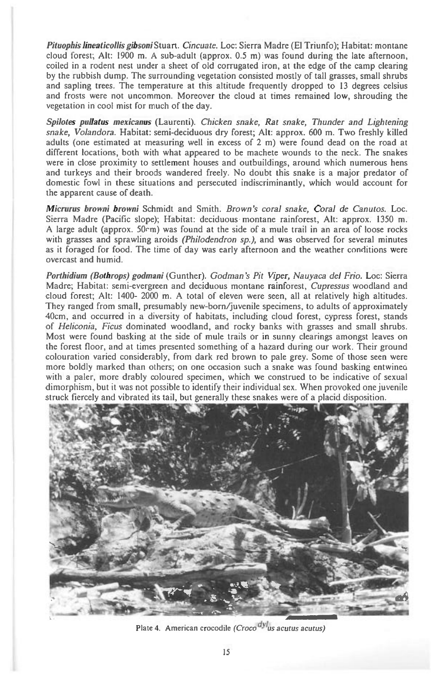*Pituophis lineaticollis gibsoni* Stuart. *Cincuate.* Loc: Sierra Madre (El Triunfo); Habitat: montane cloud forest; Alt: 1900 m. A sub-adult (approx. 0.5 m) was found during the late afternoon, coiled in a rodent nest under a sheet of old corrugated iron, at the edge of the camp clearing by the rubbish dump. The surrounding vegetation consisted mostly of tall grasses, small shrubs and sapling trees. The temperature at this altitude frequently dropped to 13 degrees celsius and frosts were not uncommon. Moreover the cloud at times remained low, shrouding the vegetation in cool mist for much of the day.

*Spilotes pullatus mexicanus* (Laurenti). *Chicken snake, Rat snake, Thunder and Lightening snake, Volandora.* Habitat: semi-deciduous dry forest; Alt: approx. 600 m. Two freshly killed adults (one estimated at measuring well in excess of 2 m) were found dead on the road at different locations, both with what appeared to be machete wounds to the neck. The snakes were in close proximity to settlement houses and outbuildings, around which numerous hens and turkeys and their broods wandered freely. No doubt this snake is a major predator of domestic fowl in these situations and persecuted indiscriminantly, which would account for the apparent cause of death.

*Micrurus browni browni* Schmidt and Smith. *Brown's coral snake, Coral de Canutos.* Loc. Sierra Madre (Pacific slope); Habitat: deciduous- montane rainforest, Alt: approx. 1350 m. A large adult (approx.  $50 \text{cm}$ ) was found at the side of a mule trail in an area of loose rocks with grasses and sprawling aroids *(Philodendron sp.),* and was observed for several minutes as it foraged for food. The time of day was early afternoon and the weather conditions were overcast and humid.

*Porthidium (Bothrops) godmani* (Gunther). *Godman's Pit Viper, Nauyaca del Frio.* Loc: Sierra Madre; Habitat: semi-evergreen and deciduous montane rainforest, *Cupressus* woodland and cloud forest; Alt: 1400- 2000 m. A total of eleven were seen, all at relatively high altitudes. They ranged from small, presumably new-born/juvenile specimens, to adults of approximately 40cm, and occurred in a diversity of habitats, including cloud forest, cypress forest, stands of *Heliconia, Ficus* dominated woodland, and rocky banks with grasses and small shrubs. Most were found basking at the side of mule trails or in sunny clearings amongst leaves on the forest floor, and at times presented something of a hazard during our work. Their ground colouration varied considerably, from dark red brown to pale grey. Some of those seen were more boldly marked than others; on one occasion such a snake was found basking entwines with a paler, more drably coloured specimen, which we construed to be indicative of sexual dimorphism, but it was not possible to identify their individual sex. When provoked one juvenile struck fiercely and vibrated its tail, but generally these snakes were of a placid disposition.



Plate 4. American crocodile *(Croco<sup>dyl</sup>us acutus acutus)*